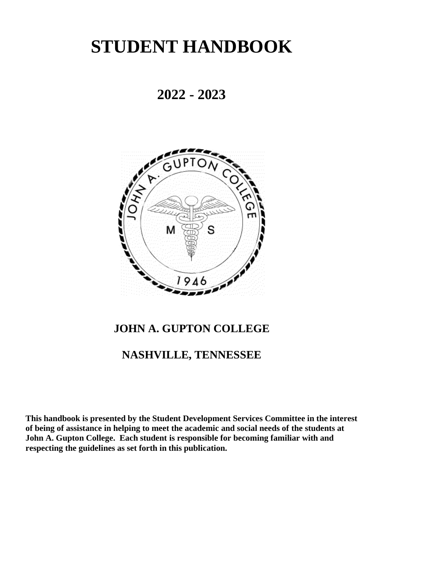# **STUDENT HANDBOOK**

# **2022 - 2023**



### **JOHN A. GUPTON COLLEGE**

### **NASHVILLE, TENNESSEE**

**This handbook is presented by the Student Development Services Committee in the interest of being of assistance in helping to meet the academic and social needs of the students at John A. Gupton College. Each student is responsible for becoming familiar with and respecting the guidelines as set forth in this publication.**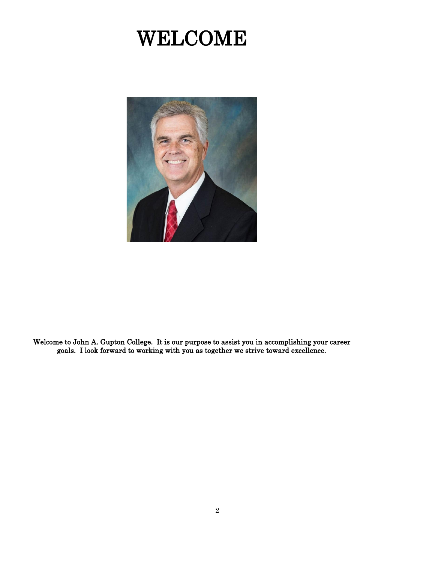# WELCOME



Welcome to John A. Gupton College. It is our purpose to assist you in accomplishing your career goals. I look forward to working with you as together we strive toward excellence.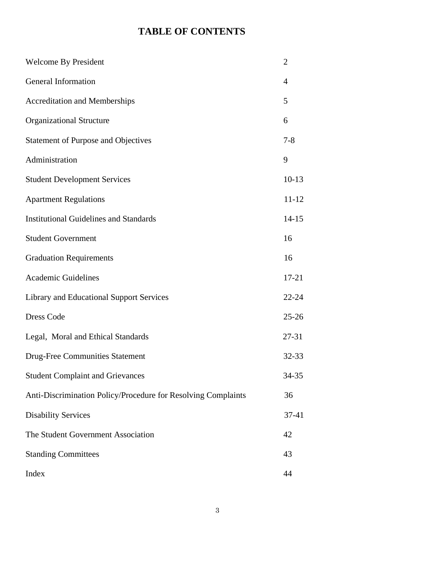### **TABLE OF CONTENTS**

| <b>Welcome By President</b>                                   | $\overline{2}$ |
|---------------------------------------------------------------|----------------|
| General Information                                           | 4              |
| <b>Accreditation and Memberships</b>                          | 5              |
| <b>Organizational Structure</b>                               | 6              |
| <b>Statement of Purpose and Objectives</b>                    | $7 - 8$        |
| Administration                                                | 9              |
| <b>Student Development Services</b>                           | $10-13$        |
| <b>Apartment Regulations</b>                                  | $11 - 12$      |
| <b>Institutional Guidelines and Standards</b>                 | $14 - 15$      |
| <b>Student Government</b>                                     | 16             |
| <b>Graduation Requirements</b>                                | 16             |
| <b>Academic Guidelines</b>                                    | $17 - 21$      |
| <b>Library and Educational Support Services</b>               | $22 - 24$      |
| <b>Dress Code</b>                                             | $25 - 26$      |
| Legal, Moral and Ethical Standards                            | $27 - 31$      |
| <b>Drug-Free Communities Statement</b>                        | 32-33          |
| <b>Student Complaint and Grievances</b>                       | 34-35          |
| Anti-Discrimination Policy/Procedure for Resolving Complaints | 36             |
| <b>Disability Services</b>                                    | 37-41          |
| The Student Government Association                            | 42             |
| <b>Standing Committees</b>                                    | 43             |
| Index                                                         | 44             |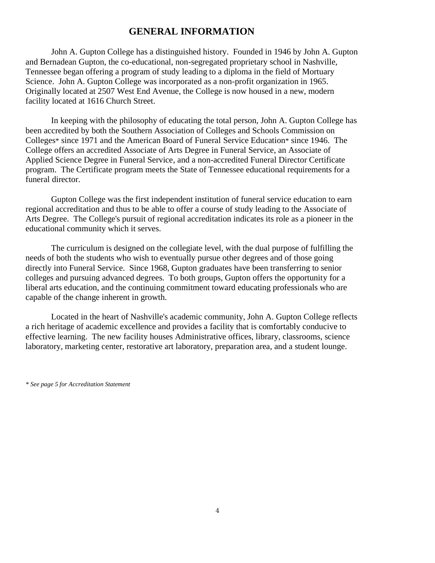### **GENERAL INFORMATION**

John A. Gupton College has a distinguished history. Founded in 1946 by John A. Gupton and Bernadean Gupton, the co-educational, non-segregated proprietary school in Nashville, Tennessee began offering a program of study leading to a diploma in the field of Mortuary Science. John A. Gupton College was incorporated as a non-profit organization in 1965. Originally located at 2507 West End Avenue, the College is now housed in a new, modern facility located at 1616 Church Street.

In keeping with the philosophy of educating the total person, John A. Gupton College has been accredited by both the Southern Association of Colleges and Schools Commission on Colleges\* since 1971 and the American Board of Funeral Service Education\* since 1946. The College offers an accredited Associate of Arts Degree in Funeral Service, an Associate of Applied Science Degree in Funeral Service, and a non-accredited Funeral Director Certificate program. The Certificate program meets the State of Tennessee educational requirements for a funeral director.

Gupton College was the first independent institution of funeral service education to earn regional accreditation and thus to be able to offer a course of study leading to the Associate of Arts Degree. The College's pursuit of regional accreditation indicates its role as a pioneer in the educational community which it serves.

The curriculum is designed on the collegiate level, with the dual purpose of fulfilling the needs of both the students who wish to eventually pursue other degrees and of those going directly into Funeral Service. Since 1968, Gupton graduates have been transferring to senior colleges and pursuing advanced degrees. To both groups, Gupton offers the opportunity for a liberal arts education, and the continuing commitment toward educating professionals who are capable of the change inherent in growth.

Located in the heart of Nashville's academic community, John A. Gupton College reflects a rich heritage of academic excellence and provides a facility that is comfortably conducive to effective learning. The new facility houses Administrative offices, library, classrooms, science laboratory, marketing center, restorative art laboratory, preparation area, and a student lounge.

*<sup>\*</sup> See page 5 for Accreditation Statement*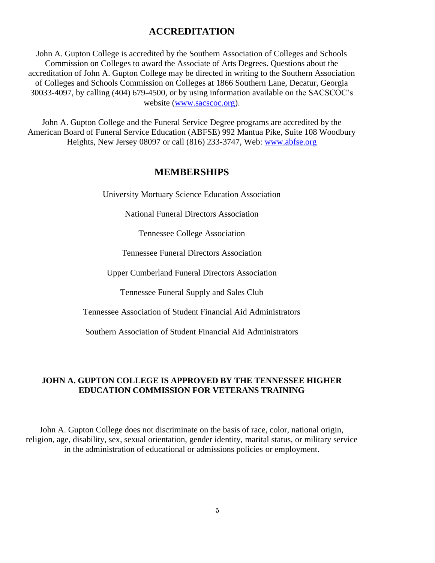### **ACCREDITATION**

John A. Gupton College is accredited by the Southern Association of Colleges and Schools Commission on Colleges to award the Associate of Arts Degrees. Questions about the accreditation of John A. Gupton College may be directed in writing to the Southern Association of Colleges and Schools Commission on Colleges at 1866 Southern Lane, Decatur, Georgia 30033-4097, by calling (404) 679-4500, or by using information available on the SACSCOC's website [\(www.sacscoc.org\)](http://www.sacscoc.org/).

John A. Gupton College and the Funeral Service Degree programs are accredited by the American Board of Funeral Service Education (ABFSE) 992 Mantua Pike, Suite 108 Woodbury Heights, New Jersey 08097 or call (816) 233-3747, Web: [www.abfse.org](http://www.abfse.org/)

### **MEMBERSHIPS**

University Mortuary Science Education Association

National Funeral Directors Association

Tennessee College Association

Tennessee Funeral Directors Association

Upper Cumberland Funeral Directors Association

Tennessee Funeral Supply and Sales Club

Tennessee Association of Student Financial Aid Administrators

Southern Association of Student Financial Aid Administrators

### **JOHN A. GUPTON COLLEGE IS APPROVED BY THE TENNESSEE HIGHER EDUCATION COMMISSION FOR VETERANS TRAINING**

John A. Gupton College does not discriminate on the basis of race, color, national origin, religion, age, disability, sex, sexual orientation, gender identity, marital status, or military service in the administration of educational or admissions policies or employment.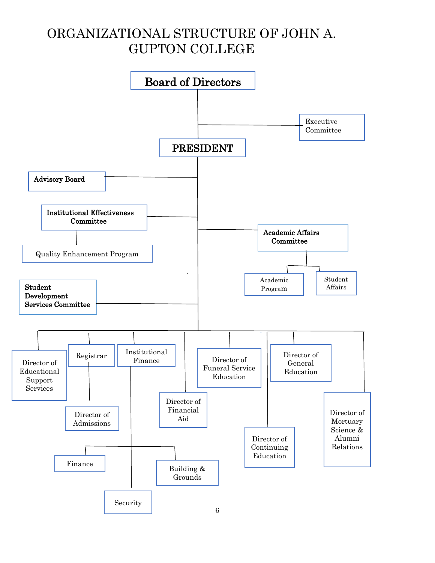# ORGANIZATIONAL STRUCTURE OF JOHN A. GUPTON COLLEGE

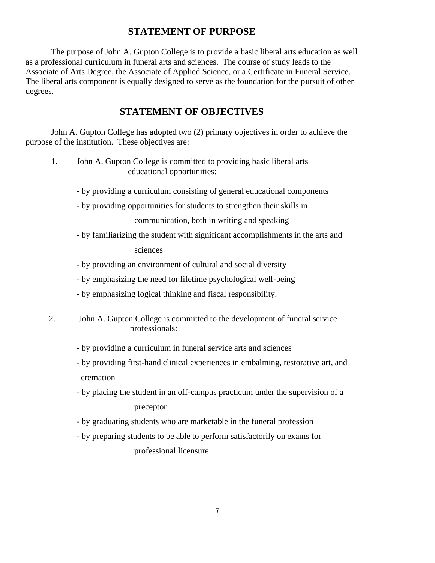### **STATEMENT OF PURPOSE**

The purpose of John A. Gupton College is to provide a basic liberal arts education as well as a professional curriculum in funeral arts and sciences. The course of study leads to the Associate of Arts Degree, the Associate of Applied Science, or a Certificate in Funeral Service. The liberal arts component is equally designed to serve as the foundation for the pursuit of other degrees.

### **STATEMENT OF OBJECTIVES**

John A. Gupton College has adopted two (2) primary objectives in order to achieve the purpose of the institution. These objectives are:

- 1. John A. Gupton College is committed to providing basic liberal arts educational opportunities:
	- by providing a curriculum consisting of general educational components
	- by providing opportunities for students to strengthen their skills in

communication, both in writing and speaking

- by familiarizing the student with significant accomplishments in the arts and sciences
- by providing an environment of cultural and social diversity
- by emphasizing the need for lifetime psychological well-being
- by emphasizing logical thinking and fiscal responsibility.
- 2. John A. Gupton College is committed to the development of funeral service professionals:
	- by providing a curriculum in funeral service arts and sciences
	- by providing first-hand clinical experiences in embalming, restorative art, and cremation
	- by placing the student in an off-campus practicum under the supervision of a preceptor
	- by graduating students who are marketable in the funeral profession
	- by preparing students to be able to perform satisfactorily on exams for professional licensure.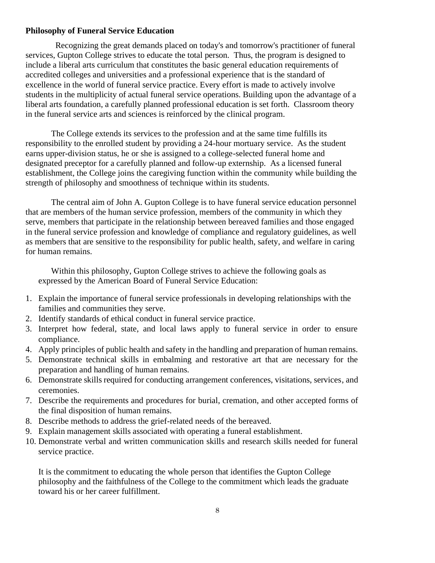### **Philosophy of Funeral Service Education**

 Recognizing the great demands placed on today's and tomorrow's practitioner of funeral services, Gupton College strives to educate the total person. Thus, the program is designed to include a liberal arts curriculum that constitutes the basic general education requirements of accredited colleges and universities and a professional experience that is the standard of excellence in the world of funeral service practice. Every effort is made to actively involve students in the multiplicity of actual funeral service operations. Building upon the advantage of a liberal arts foundation, a carefully planned professional education is set forth. Classroom theory in the funeral service arts and sciences is reinforced by the clinical program.

The College extends its services to the profession and at the same time fulfills its responsibility to the enrolled student by providing a 24-hour mortuary service. As the student earns upper-division status, he or she is assigned to a college-selected funeral home and designated preceptor for a carefully planned and follow-up externship. As a licensed funeral establishment, the College joins the caregiving function within the community while building the strength of philosophy and smoothness of technique within its students.

The central aim of John A. Gupton College is to have funeral service education personnel that are members of the human service profession, members of the community in which they serve, members that participate in the relationship between bereaved families and those engaged in the funeral service profession and knowledge of compliance and regulatory guidelines, as well as members that are sensitive to the responsibility for public health, safety, and welfare in caring for human remains.

Within this philosophy, Gupton College strives to achieve the following goals as expressed by the American Board of Funeral Service Education:

- 1. Explain the importance of funeral service professionals in developing relationships with the families and communities they serve.
- 2. Identify standards of ethical conduct in funeral service practice.
- 3. Interpret how federal, state, and local laws apply to funeral service in order to ensure compliance.
- 4. Apply principles of public health and safety in the handling and preparation of human remains.
- 5. Demonstrate technical skills in embalming and restorative art that are necessary for the preparation and handling of human remains.
- 6. Demonstrate skills required for conducting arrangement conferences, visitations, services, and ceremonies.
- 7. Describe the requirements and procedures for burial, cremation, and other accepted forms of the final disposition of human remains.
- 8. Describe methods to address the grief-related needs of the bereaved.
- 9. Explain management skills associated with operating a funeral establishment.
- 10. Demonstrate verbal and written communication skills and research skills needed for funeral service practice.

It is the commitment to educating the whole person that identifies the Gupton College philosophy and the faithfulness of the College to the commitment which leads the graduate toward his or her career fulfillment.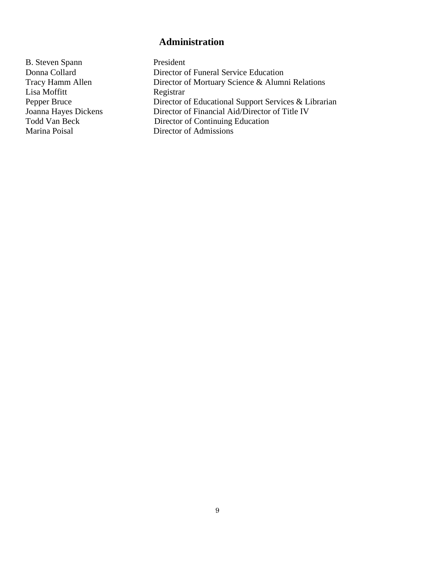### **Administration**

B. Steven Spann President<br>
Donna Collard Director o Lisa Moffitt<br>Pepper Bruce

Director of Funeral Service Education Tracy Hamm Allen Director of Mortuary Science & Alumni Relations<br>Lisa Moffitt Registrar Pepper Bruce Director of Educational Support Services & Librarian<br>Joanna Hayes Dickens Director of Financial Aid/Director of Title IV Director of Financial Aid/Director of Title IV Todd Van Beck Director of Continuing Education Marina Poisal Director of Admissions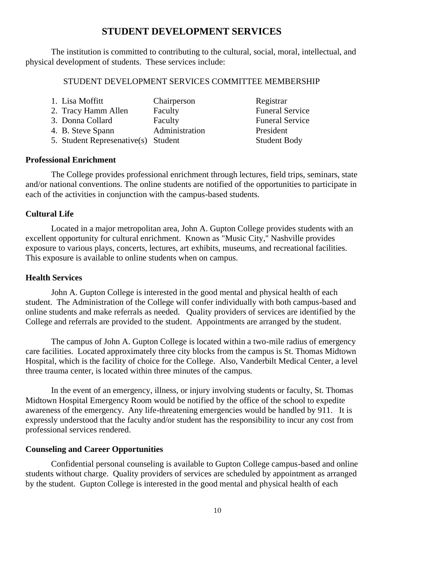### **STUDENT DEVELOPMENT SERVICES**

The institution is committed to contributing to the cultural, social, moral, intellectual, and physical development of students. These services include:

### STUDENT DEVELOPMENT SERVICES COMMITTEE MEMBERSHIP

| 1. Lisa Moffitt                     | Chairperson    | Registrar              |
|-------------------------------------|----------------|------------------------|
| 2. Tracy Hamm Allen                 | Faculty        | <b>Funeral Service</b> |
| 3. Donna Collard                    | Faculty        | <b>Funeral Service</b> |
| 4. B. Steve Spann                   | Administration | President              |
| 5. Student Represenative(s) Student |                | <b>Student Body</b>    |

#### **Professional Enrichment**

The College provides professional enrichment through lectures, field trips, seminars, state and/or national conventions. The online students are notified of the opportunities to participate in each of the activities in conjunction with the campus-based students.

#### **Cultural Life**

Located in a major metropolitan area, John A. Gupton College provides students with an excellent opportunity for cultural enrichment. Known as "Music City," Nashville provides exposure to various plays, concerts, lectures, art exhibits, museums, and recreational facilities. This exposure is available to online students when on campus.

### **Health Services**

John A. Gupton College is interested in the good mental and physical health of each student. The Administration of the College will confer individually with both campus-based and online students and make referrals as needed. Quality providers of services are identified by the College and referrals are provided to the student. Appointments are arranged by the student.

The campus of John A. Gupton College is located within a two-mile radius of emergency care facilities. Located approximately three city blocks from the campus is St. Thomas Midtown Hospital, which is the facility of choice for the College. Also, Vanderbilt Medical Center, a level three trauma center, is located within three minutes of the campus.

In the event of an emergency, illness, or injury involving students or faculty, St. Thomas Midtown Hospital Emergency Room would be notified by the office of the school to expedite awareness of the emergency. Any life-threatening emergencies would be handled by 911. It is expressly understood that the faculty and/or student has the responsibility to incur any cost from professional services rendered.

#### **Counseling and Career Opportunities**

Confidential personal counseling is available to Gupton College campus-based and online students without charge. Quality providers of services are scheduled by appointment as arranged by the student. Gupton College is interested in the good mental and physical health of each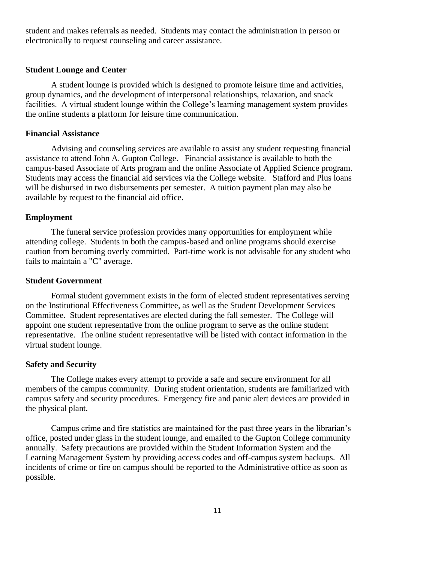student and makes referrals as needed. Students may contact the administration in person or electronically to request counseling and career assistance.

### **Student Lounge and Center**

A student lounge is provided which is designed to promote leisure time and activities, group dynamics, and the development of interpersonal relationships, relaxation, and snack facilities. A virtual student lounge within the College's learning management system provides the online students a platform for leisure time communication.

### **Financial Assistance**

Advising and counseling services are available to assist any student requesting financial assistance to attend John A. Gupton College. Financial assistance is available to both the campus-based Associate of Arts program and the online Associate of Applied Science program. Students may access the financial aid services via the College website. Stafford and Plus loans will be disbursed in two disbursements per semester. A tuition payment plan may also be available by request to the financial aid office.

#### **Employment**

The funeral service profession provides many opportunities for employment while attending college. Students in both the campus-based and online programs should exercise caution from becoming overly committed. Part-time work is not advisable for any student who fails to maintain a "C" average.

### **Student Government**

Formal student government exists in the form of elected student representatives serving on the Institutional Effectiveness Committee, as well as the Student Development Services Committee. Student representatives are elected during the fall semester. The College will appoint one student representative from the online program to serve as the online student representative. The online student representative will be listed with contact information in the virtual student lounge.

#### **Safety and Security**

The College makes every attempt to provide a safe and secure environment for all members of the campus community. During student orientation, students are familiarized with campus safety and security procedures. Emergency fire and panic alert devices are provided in the physical plant.

Campus crime and fire statistics are maintained for the past three years in the librarian's office, posted under glass in the student lounge, and emailed to the Gupton College community annually. Safety precautions are provided within the Student Information System and the Learning Management System by providing access codes and off-campus system backups. All incidents of crime or fire on campus should be reported to the Administrative office as soon as possible.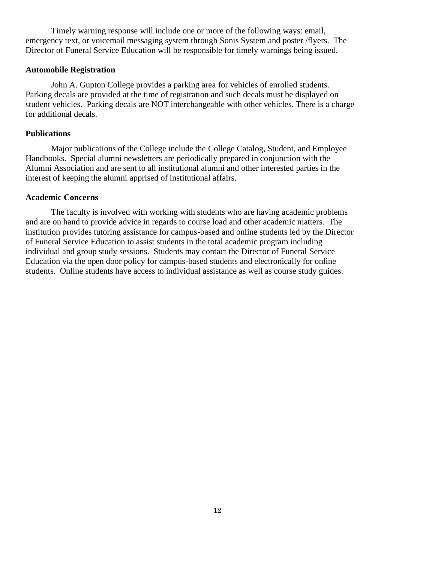Timely warning response will include one or more of the following ways: email, emergency text, or voicemail messaging system through Sonis System and poster /flyers. The Director of Funeral Service Education will be responsible for timely warnings being issued.

### **Automobile Registration**

John A. Gupton College provides a parking area for vehicles of enrolled students. Parking decals are provided at the time of registration and such decals must be displayed on student vehicles. Parking decals are NOT interchangeable with other vehicles. There is a charge for additional decals.

### **Publications**

Major publications of the College include the College Catalog, Student, and Employee Handbooks. Special alumni newsletters are periodically prepared in conjunction with the Alumni Association and are sent to all institutional alumni and other interested parties in the interest of keeping the alumni apprised of institutional affairs.

### **Academic Concerns**

The faculty is involved with working with students who are having academic problems and are on hand to provide advice in regards to course load and other academic matters. The institution provides tutoring assistance for campus-based and online students led by the Director of Funeral Service Education to assist students in the total academic program including individual and group study sessions. Students may contact the Director of Funeral Service Education via the open door policy for campus-based students and electronically for online students. Online students have access to individual assistance as well as course study guides.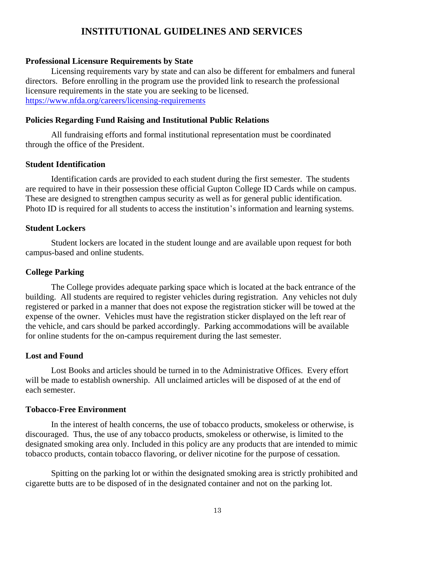### **INSTITUTIONAL GUIDELINES AND SERVICES**

#### **Professional Licensure Requirements by State**

Licensing requirements vary by state and can also be different for embalmers and funeral directors. Before enrolling in the program use the provided link to research the professional licensure requirements in the state you are seeking to be licensed. <https://www.nfda.org/careers/licensing-requirements>

#### **Policies Regarding Fund Raising and Institutional Public Relations**

All fundraising efforts and formal institutional representation must be coordinated through the office of the President.

### **Student Identification**

Identification cards are provided to each student during the first semester. The students are required to have in their possession these official Gupton College ID Cards while on campus. These are designed to strengthen campus security as well as for general public identification. Photo ID is required for all students to access the institution's information and learning systems.

#### **Student Lockers**

Student lockers are located in the student lounge and are available upon request for both campus-based and online students.

#### **College Parking**

The College provides adequate parking space which is located at the back entrance of the building. All students are required to register vehicles during registration. Any vehicles not duly registered or parked in a manner that does not expose the registration sticker will be towed at the expense of the owner. Vehicles must have the registration sticker displayed on the left rear of the vehicle, and cars should be parked accordingly. Parking accommodations will be available for online students for the on-campus requirement during the last semester.

#### **Lost and Found**

Lost Books and articles should be turned in to the Administrative Offices. Every effort will be made to establish ownership. All unclaimed articles will be disposed of at the end of each semester.

#### **Tobacco-Free Environment**

In the interest of health concerns, the use of tobacco products, smokeless or otherwise, is discouraged. Thus, the use of any tobacco products, smokeless or otherwise, is limited to the designated smoking area only. Included in this policy are any products that are intended to mimic tobacco products, contain tobacco flavoring, or deliver nicotine for the purpose of cessation.

Spitting on the parking lot or within the designated smoking area is strictly prohibited and cigarette butts are to be disposed of in the designated container and not on the parking lot.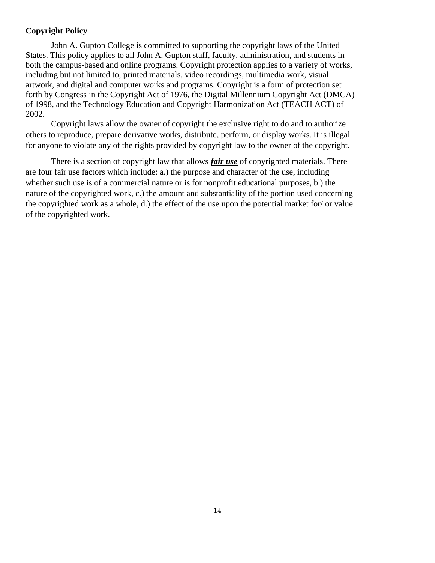### **Copyright Policy**

John A. Gupton College is committed to supporting the copyright laws of the United States. This policy applies to all John A. Gupton staff, faculty, administration, and students in both the campus-based and online programs. Copyright protection applies to a variety of works, including but not limited to, printed materials, video recordings, multimedia work, visual artwork, and digital and computer works and programs. Copyright is a form of protection set forth by Congress in the Copyright Act of 1976, the Digital Millennium Copyright Act (DMCA) of 1998, and the Technology Education and Copyright Harmonization Act (TEACH ACT) of 2002.

Copyright laws allow the owner of copyright the exclusive right to do and to authorize others to reproduce, prepare derivative works, distribute, perform, or display works. It is illegal for anyone to violate any of the rights provided by copyright law to the owner of the copyright.

There is a section of copyright law that allows *fair use* of copyrighted materials. There are four fair use factors which include: a.) the purpose and character of the use, including whether such use is of a commercial nature or is for nonprofit educational purposes, b.) the nature of the copyrighted work, c.) the amount and substantiality of the portion used concerning the copyrighted work as a whole, d.) the effect of the use upon the potential market for/ or value of the copyrighted work.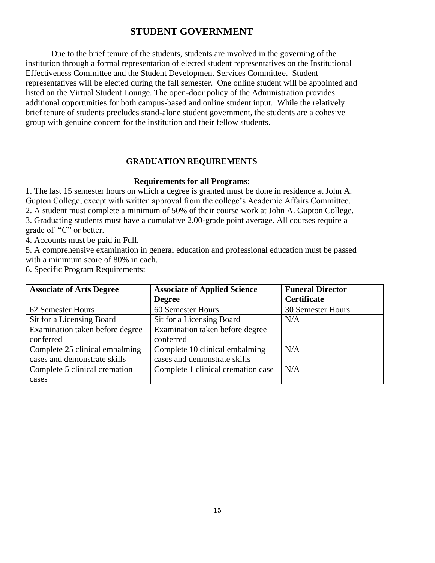### **STUDENT GOVERNMENT**

Due to the brief tenure of the students, students are involved in the governing of the institution through a formal representation of elected student representatives on the Institutional Effectiveness Committee and the Student Development Services Committee. Student representatives will be elected during the fall semester. One online student will be appointed and listed on the Virtual Student Lounge. The open-door policy of the Administration provides additional opportunities for both campus-based and online student input. While the relatively brief tenure of students precludes stand-alone student government, the students are a cohesive group with genuine concern for the institution and their fellow students.

### **GRADUATION REQUIREMENTS**

### **Requirements for all Programs**:

1. The last 15 semester hours on which a degree is granted must be done in residence at John A. Gupton College, except with written approval from the college's Academic Affairs Committee. 2. A student must complete a minimum of 50% of their course work at John A. Gupton College. 3. Graduating students must have a cumulative 2.00-grade point average. All courses require a grade of "C" or better.

4. Accounts must be paid in Full.

5. A comprehensive examination in general education and professional education must be passed with a minimum score of 80% in each.

6. Specific Program Requirements:

| <b>Associate of Arts Degree</b> | <b>Associate of Applied Science</b> | <b>Funeral Director</b>  |
|---------------------------------|-------------------------------------|--------------------------|
|                                 | <b>Degree</b>                       | <b>Certificate</b>       |
| 62 Semester Hours               | 60 Semester Hours                   | <b>30 Semester Hours</b> |
| Sit for a Licensing Board       | Sit for a Licensing Board           | N/A                      |
| Examination taken before degree | Examination taken before degree     |                          |
| conferred                       | conferred                           |                          |
| Complete 25 clinical embalming  | Complete 10 clinical embalming      | N/A                      |
| cases and demonstrate skills    | cases and demonstrate skills        |                          |
| Complete 5 clinical cremation   | Complete 1 clinical cremation case  | N/A                      |
| cases                           |                                     |                          |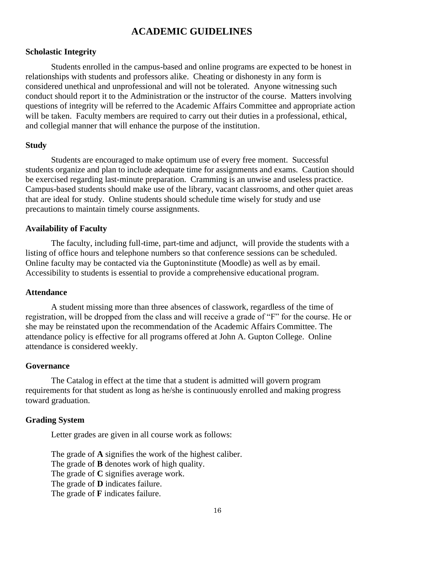### **ACADEMIC GUIDELINES**

### **Scholastic Integrity**

Students enrolled in the campus-based and online programs are expected to be honest in relationships with students and professors alike. Cheating or dishonesty in any form is considered unethical and unprofessional and will not be tolerated. Anyone witnessing such conduct should report it to the Administration or the instructor of the course. Matters involving questions of integrity will be referred to the Academic Affairs Committee and appropriate action will be taken. Faculty members are required to carry out their duties in a professional, ethical, and collegial manner that will enhance the purpose of the institution.

### **Study**

Students are encouraged to make optimum use of every free moment. Successful students organize and plan to include adequate time for assignments and exams. Caution should be exercised regarding last-minute preparation. Cramming is an unwise and useless practice. Campus-based students should make use of the library, vacant classrooms, and other quiet areas that are ideal for study. Online students should schedule time wisely for study and use precautions to maintain timely course assignments.

#### **Availability of Faculty**

The faculty, including full-time, part-time and adjunct, will provide the students with a listing of office hours and telephone numbers so that conference sessions can be scheduled. Online faculty may be contacted via the Guptoninstitute (Moodle) as well as by email. Accessibility to students is essential to provide a comprehensive educational program.

#### **Attendance**

A student missing more than three absences of classwork, regardless of the time of registration, will be dropped from the class and will receive a grade of "F" for the course. He or she may be reinstated upon the recommendation of the Academic Affairs Committee. The attendance policy is effective for all programs offered at John A. Gupton College. Online attendance is considered weekly.

#### **Governance**

The Catalog in effect at the time that a student is admitted will govern program requirements for that student as long as he/she is continuously enrolled and making progress toward graduation.

### **Grading System**

Letter grades are given in all course work as follows:

The grade of **A** signifies the work of the highest caliber. The grade of **B** denotes work of high quality. The grade of **C** signifies average work. The grade of **D** indicates failure. The grade of **F** indicates failure.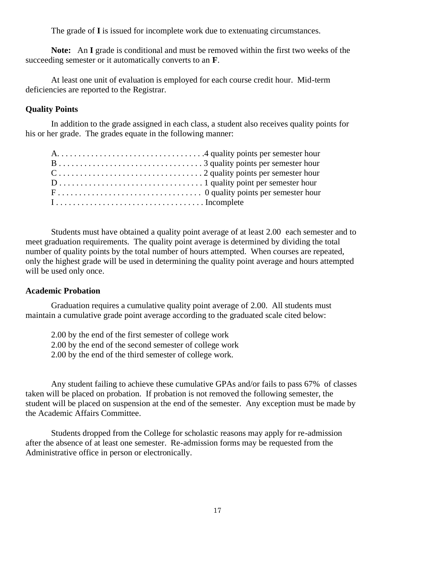The grade of **I** is issued for incomplete work due to extenuating circumstances.

**Note:** An **I** grade is conditional and must be removed within the first two weeks of the succeeding semester or it automatically converts to an **F**.

At least one unit of evaluation is employed for each course credit hour. Mid-term deficiencies are reported to the Registrar.

### **Quality Points**

In addition to the grade assigned in each class, a student also receives quality points for his or her grade. The grades equate in the following manner:

| $1 \ldots \ldots \ldots \ldots \ldots \ldots \ldots \ldots \ldots \ldots$ . Incomplete |  |
|----------------------------------------------------------------------------------------|--|

Students must have obtained a quality point average of at least 2.00 each semester and to meet graduation requirements. The quality point average is determined by dividing the total number of quality points by the total number of hours attempted. When courses are repeated, only the highest grade will be used in determining the quality point average and hours attempted will be used only once.

### **Academic Probation**

Graduation requires a cumulative quality point average of 2.00. All students must maintain a cumulative grade point average according to the graduated scale cited below:

2.00 by the end of the first semester of college work 2.00 by the end of the second semester of college work 2.00 by the end of the third semester of college work.

Any student failing to achieve these cumulative GPAs and/or fails to pass 67% of classes taken will be placed on probation. If probation is not removed the following semester, the student will be placed on suspension at the end of the semester. Any exception must be made by the Academic Affairs Committee.

Students dropped from the College for scholastic reasons may apply for re-admission after the absence of at least one semester. Re-admission forms may be requested from the Administrative office in person or electronically.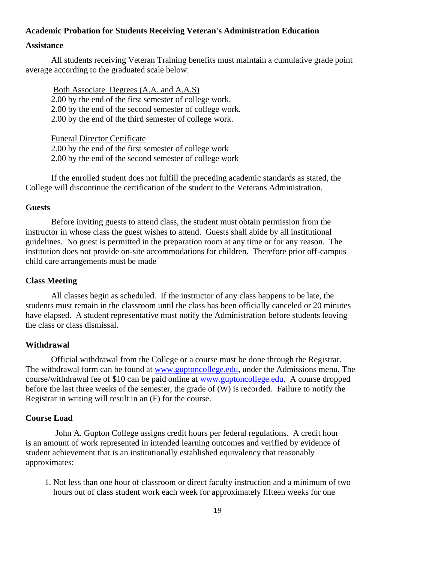### **Academic Probation for Students Receiving Veteran's Administration Education**

### **Assistance**

All students receiving Veteran Training benefits must maintain a cumulative grade point average according to the graduated scale below:

Both Associate Degrees (A.A. and A.A.S) 2.00 by the end of the first semester of college work. 2.00 by the end of the second semester of college work. 2.00 by the end of the third semester of college work.

Funeral Director Certificate

2.00 by the end of the first semester of college work 2.00 by the end of the second semester of college work

If the enrolled student does not fulfill the preceding academic standards as stated, the College will discontinue the certification of the student to the Veterans Administration.

### **Guests**

Before inviting guests to attend class, the student must obtain permission from the instructor in whose class the guest wishes to attend. Guests shall abide by all institutional guidelines. No guest is permitted in the preparation room at any time or for any reason. The institution does not provide on-site accommodations for children. Therefore prior off-campus child care arrangements must be made

### **Class Meeting**

All classes begin as scheduled. If the instructor of any class happens to be late, the students must remain in the classroom until the class has been officially canceled or 20 minutes have elapsed. A student representative must notify the Administration before students leaving the class or class dismissal.

### **Withdrawal**

Official withdrawal from the College or a course must be done through the Registrar. The withdrawal form can be found at [www.guptoncollege.edu,](http://www.guptoncollege.edu/) under the Admissions menu. The course/withdrawal fee of \$10 can be paid online at [www.guptoncollege.edu.](http://www.guptoncollege.edu/) A course dropped before the last three weeks of the semester, the grade of (W) is recorded. Failure to notify the Registrar in writing will result in an (F) for the course.

### **Course Load**

 John A. Gupton College assigns credit hours per federal regulations. A credit hour is an amount of work represented in intended learning outcomes and verified by evidence of student achievement that is an institutionally established equivalency that reasonably approximates:

 1. Not less than one hour of classroom or direct faculty instruction and a minimum of two hours out of class student work each week for approximately fifteen weeks for one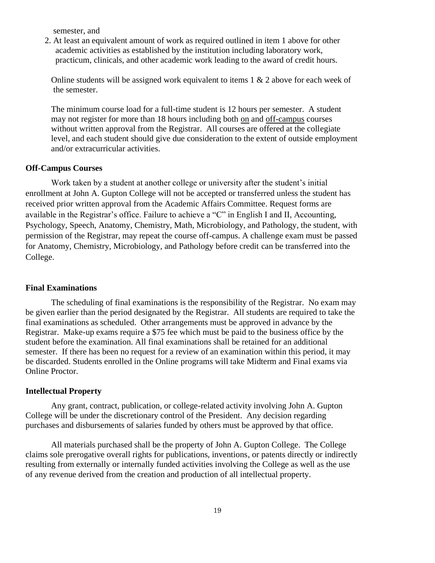semester, and

 2. At least an equivalent amount of work as required outlined in item 1 above for other academic activities as established by the institution including laboratory work, practicum, clinicals, and other academic work leading to the award of credit hours.

Online students will be assigned work equivalent to items 1 & 2 above for each week of the semester.

The minimum course load for a full-time student is 12 hours per semester. A student may not register for more than 18 hours including both on and off-campus courses without written approval from the Registrar. All courses are offered at the collegiate level, and each student should give due consideration to the extent of outside employment and/or extracurricular activities.

### **Off-Campus Courses**

Work taken by a student at another college or university after the student's initial enrollment at John A. Gupton College will not be accepted or transferred unless the student has received prior written approval from the Academic Affairs Committee. Request forms are available in the Registrar's office. Failure to achieve a "C" in English I and II, Accounting, Psychology, Speech, Anatomy, Chemistry, Math, Microbiology, and Pathology, the student, with permission of the Registrar, may repeat the course off-campus. A challenge exam must be passed for Anatomy, Chemistry, Microbiology, and Pathology before credit can be transferred into the College.

#### **Final Examinations**

The scheduling of final examinations is the responsibility of the Registrar. No exam may be given earlier than the period designated by the Registrar. All students are required to take the final examinations as scheduled. Other arrangements must be approved in advance by the Registrar. Make-up exams require a \$75 fee which must be paid to the business office by the student before the examination. All final examinations shall be retained for an additional semester. If there has been no request for a review of an examination within this period, it may be discarded. Students enrolled in the Online programs will take Midterm and Final exams via Online Proctor.

### **Intellectual Property**

Any grant, contract, publication, or college-related activity involving John A. Gupton College will be under the discretionary control of the President. Any decision regarding purchases and disbursements of salaries funded by others must be approved by that office.

All materials purchased shall be the property of John A. Gupton College. The College claims sole prerogative overall rights for publications, inventions, or patents directly or indirectly resulting from externally or internally funded activities involving the College as well as the use of any revenue derived from the creation and production of all intellectual property.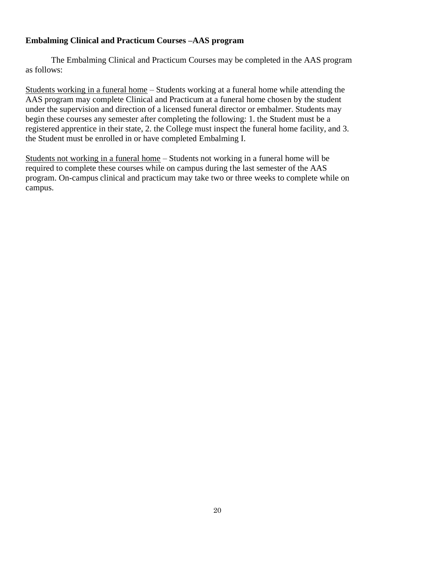### **Embalming Clinical and Practicum Courses –AAS program**

The Embalming Clinical and Practicum Courses may be completed in the AAS program as follows:

Students working in a funeral home – Students working at a funeral home while attending the AAS program may complete Clinical and Practicum at a funeral home chosen by the student under the supervision and direction of a licensed funeral director or embalmer. Students may begin these courses any semester after completing the following: 1. the Student must be a registered apprentice in their state, 2. the College must inspect the funeral home facility, and 3. the Student must be enrolled in or have completed Embalming I.

Students not working in a funeral home – Students not working in a funeral home will be required to complete these courses while on campus during the last semester of the AAS program. On-campus clinical and practicum may take two or three weeks to complete while on campus.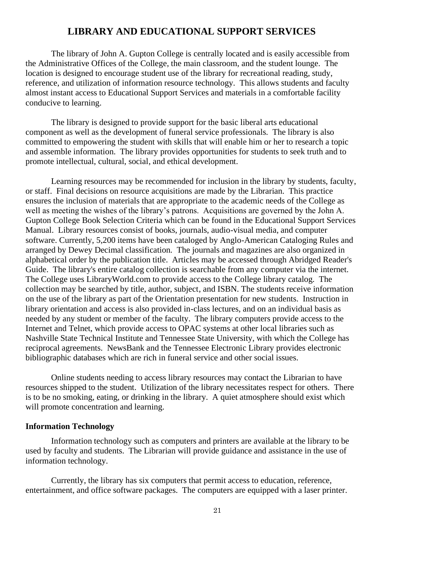### **LIBRARY AND EDUCATIONAL SUPPORT SERVICES**

The library of John A. Gupton College is centrally located and is easily accessible from the Administrative Offices of the College, the main classroom, and the student lounge. The location is designed to encourage student use of the library for recreational reading, study, reference, and utilization of information resource technology. This allows students and faculty almost instant access to Educational Support Services and materials in a comfortable facility conducive to learning.

The library is designed to provide support for the basic liberal arts educational component as well as the development of funeral service professionals. The library is also committed to empowering the student with skills that will enable him or her to research a topic and assemble information. The library provides opportunities for students to seek truth and to promote intellectual, cultural, social, and ethical development.

Learning resources may be recommended for inclusion in the library by students, faculty, or staff. Final decisions on resource acquisitions are made by the Librarian. This practice ensures the inclusion of materials that are appropriate to the academic needs of the College as well as meeting the wishes of the library's patrons. Acquisitions are governed by the John A. Gupton College Book Selection Criteria which can be found in the Educational Support Services Manual. Library resources consist of books, journals, audio-visual media, and computer software. Currently, 5,200 items have been cataloged by Anglo-American Cataloging Rules and arranged by Dewey Decimal classification. The journals and magazines are also organized in alphabetical order by the publication title. Articles may be accessed through Abridged Reader's Guide. The library's entire catalog collection is searchable from any computer via the internet. The College uses LibraryWorld.com to provide access to the College library catalog. The collection may be searched by title, author, subject, and ISBN. The students receive information on the use of the library as part of the Orientation presentation for new students. Instruction in library orientation and access is also provided in-class lectures, and on an individual basis as needed by any student or member of the faculty. The library computers provide access to the Internet and Telnet, which provide access to OPAC systems at other local libraries such as Nashville State Technical Institute and Tennessee State University, with which the College has reciprocal agreements. NewsBank and the Tennessee Electronic Library provides electronic bibliographic databases which are rich in funeral service and other social issues.

Online students needing to access library resources may contact the Librarian to have resources shipped to the student. Utilization of the library necessitates respect for others. There is to be no smoking, eating, or drinking in the library. A quiet atmosphere should exist which will promote concentration and learning.

#### **Information Technology**

Information technology such as computers and printers are available at the library to be used by faculty and students. The Librarian will provide guidance and assistance in the use of information technology.

Currently, the library has six computers that permit access to education, reference, entertainment, and office software packages. The computers are equipped with a laser printer.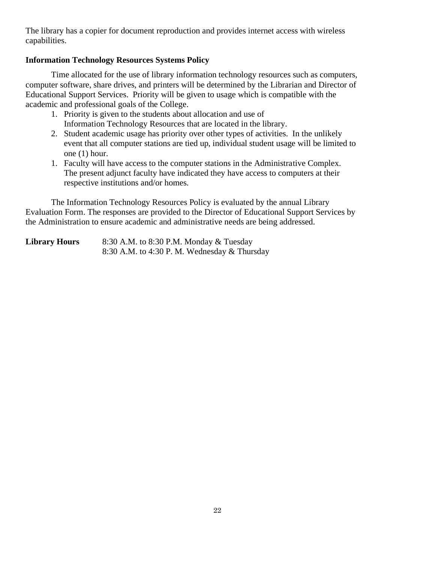The library has a copier for document reproduction and provides internet access with wireless capabilities.

### **Information Technology Resources Systems Policy**

Time allocated for the use of library information technology resources such as computers, computer software, share drives, and printers will be determined by the Librarian and Director of Educational Support Services. Priority will be given to usage which is compatible with the academic and professional goals of the College.

- 1. Priority is given to the students about allocation and use of Information Technology Resources that are located in the library.
- 2. Student academic usage has priority over other types of activities. In the unlikely event that all computer stations are tied up, individual student usage will be limited to one (1) hour.
- 1. Faculty will have access to the computer stations in the Administrative Complex. The present adjunct faculty have indicated they have access to computers at their respective institutions and/or homes.

The Information Technology Resources Policy is evaluated by the annual Library Evaluation Form. The responses are provided to the Director of Educational Support Services by the Administration to ensure academic and administrative needs are being addressed.

**Library Hours** 8:30 A.M. to 8:30 P.M. Monday & Tuesday 8:30 A.M. to 4:30 P. M. Wednesday & Thursday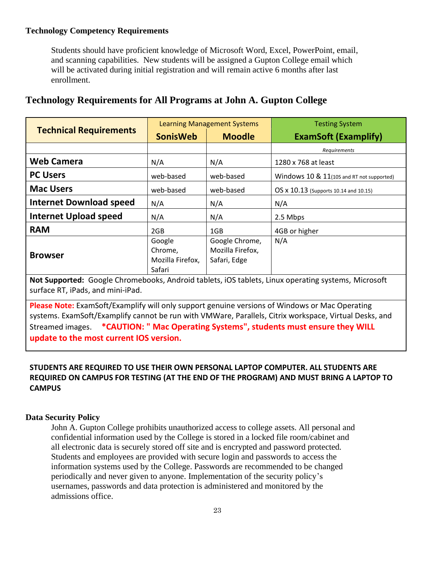### **Technology Competency Requirements**

Students should have proficient knowledge of Microsoft Word, Excel, PowerPoint, email, and scanning capabilities. New students will be assigned a Gupton College email which will be activated during initial registration and will remain active 6 months after last enrollment.

### **Technology Requirements for All Programs at John A. Gupton College**

|                                | <b>Learning Management Systems</b>              |                                                    | <b>Testing System</b>                     |  |
|--------------------------------|-------------------------------------------------|----------------------------------------------------|-------------------------------------------|--|
| <b>Technical Requirements</b>  | <b>SonisWeb</b>                                 | <b>Moodle</b>                                      | <b>ExamSoft (Examplify)</b>               |  |
|                                |                                                 |                                                    | Requirements                              |  |
| <b>Web Camera</b>              | N/A                                             | N/A                                                | 1280 x 768 at least                       |  |
| <b>PC Users</b>                | web-based                                       | web-based                                          | Windows 10 & 11(10S and RT not supported) |  |
| <b>Mac Users</b>               | web-based                                       | web-based                                          | OS x 10.13 (Supports 10.14 and 10.15)     |  |
| <b>Internet Download speed</b> | N/A                                             | N/A                                                | N/A                                       |  |
| <b>Internet Upload speed</b>   | N/A                                             | N/A                                                | 2.5 Mbps                                  |  |
| <b>RAM</b>                     | 2GB                                             | 1GB                                                | 4GB or higher                             |  |
| <b>Browser</b>                 | Google<br>Chrome,<br>Mozilla Firefox,<br>Safari | Google Chrome,<br>Mozilla Firefox,<br>Safari, Edge | N/A                                       |  |

**Not Supported:** Google Chromebooks, Android tablets, iOS tablets, Linux operating systems, Microsoft surface RT, iPads, and mini-iPad.

**Please Note:** ExamSoft/Examplify will only support genuine versions of Windows or Mac Operating systems. ExamSoft/Examplify cannot be run with VMWare, Parallels, Citrix workspace, Virtual Desks, and Streamed images. **\*CAUTION: " Mac Operating Systems", students must ensure they WILL update to the most current IOS version.** 

### **STUDENTS ARE REQUIRED TO USE THEIR OWN PERSONAL LAPTOP COMPUTER. ALL STUDENTS ARE REQUIRED ON CAMPUS FOR TESTING (AT THE END OF THE PROGRAM) AND MUST BRING A LAPTOP TO CAMPUS**

### **Data Security Policy**

John A. Gupton College prohibits unauthorized access to college assets. All personal and confidential information used by the College is stored in a locked file room/cabinet and all electronic data is securely stored off site and is encrypted and password protected. Students and employees are provided with secure login and passwords to access the information systems used by the College. Passwords are recommended to be changed periodically and never given to anyone. Implementation of the security policy's usernames, passwords and data protection is administered and monitored by the admissions office.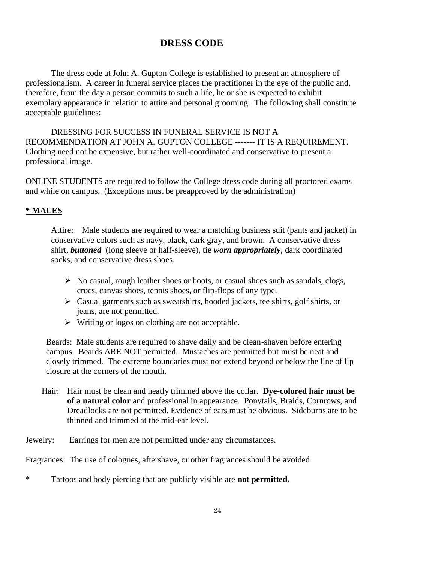### **DRESS CODE**

The dress code at John A. Gupton College is established to present an atmosphere of professionalism. A career in funeral service places the practitioner in the eye of the public and, therefore, from the day a person commits to such a life, he or she is expected to exhibit exemplary appearance in relation to attire and personal grooming. The following shall constitute acceptable guidelines:

DRESSING FOR SUCCESS IN FUNERAL SERVICE IS NOT A RECOMMENDATION AT JOHN A. GUPTON COLLEGE ------- IT IS A REQUIREMENT. Clothing need not be expensive, but rather well-coordinated and conservative to present a professional image.

ONLINE STUDENTS are required to follow the College dress code during all proctored exams and while on campus. (Exceptions must be preapproved by the administration)

### **\* MALES**

Attire: Male students are required to wear a matching business suit (pants and jacket) in conservative colors such as navy, black, dark gray, and brown. A conservative dress shirt, *buttoned* (long sleeve or half-sleeve), tie *worn appropriately*, dark coordinated socks, and conservative dress shoes.

- $\triangleright$  No casual, rough leather shoes or boots, or casual shoes such as sandals, clogs, crocs, canvas shoes, tennis shoes, or flip-flops of any type.
- $\triangleright$  Casual garments such as sweatshirts, hooded jackets, tee shirts, golf shirts, or jeans, are not permitted.
- $\triangleright$  Writing or logos on clothing are not acceptable.

Beards: Male students are required to shave daily and be clean-shaven before entering campus. Beards ARE NOT permitted. Mustaches are permitted but must be neat and closely trimmed. The extreme boundaries must not extend beyond or below the line of lip closure at the corners of the mouth.

Hair: Hair must be clean and neatly trimmed above the collar. **Dye-colored hair must be of a natural color** and professional in appearance. Ponytails, Braids, Cornrows, and Dreadlocks are not permitted. Evidence of ears must be obvious. Sideburns are to be thinned and trimmed at the mid-ear level.

Jewelry: Earrings for men are not permitted under any circumstances.

Fragrances: The use of colognes, aftershave, or other fragrances should be avoided

\* Tattoos and body piercing that are publicly visible are **not permitted.**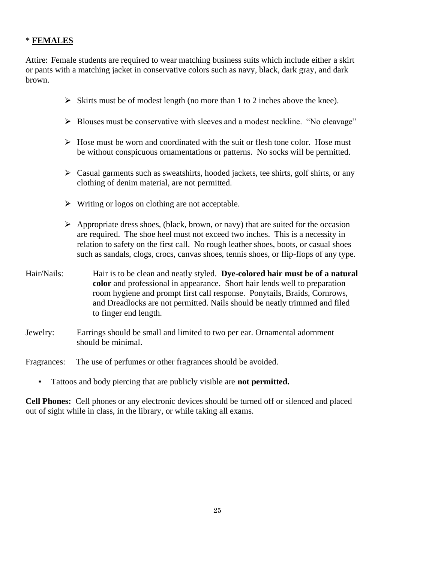### \* **FEMALES**

Attire: Female students are required to wear matching business suits which include either a skirt or pants with a matching jacket in conservative colors such as navy, black, dark gray, and dark brown.

- $\triangleright$  Skirts must be of modest length (no more than 1 to 2 inches above the knee).
- $\triangleright$  Blouses must be conservative with sleeves and a modest neckline. "No cleavage"
- $\triangleright$  Hose must be worn and coordinated with the suit or flesh tone color. Hose must be without conspicuous ornamentations or patterns. No socks will be permitted.
- $\triangleright$  Casual garments such as sweatshirts, hooded jackets, tee shirts, golf shirts, or any clothing of denim material, are not permitted.
- $\triangleright$  Writing or logos on clothing are not acceptable.
- $\triangleright$  Appropriate dress shoes, (black, brown, or navy) that are suited for the occasion are required. The shoe heel must not exceed two inches. This is a necessity in relation to safety on the first call. No rough leather shoes, boots, or casual shoes such as sandals, clogs, crocs, canvas shoes, tennis shoes, or flip-flops of any type.
- Hair/Nails: Hair is to be clean and neatly styled. **Dye-colored hair must be of a natural color** and professional in appearance. Short hair lends well to preparation room hygiene and prompt first call response. Ponytails, Braids, Cornrows, and Dreadlocks are not permitted. Nails should be neatly trimmed and filed to finger end length.
- Jewelry: Earrings should be small and limited to two per ear. Ornamental adornment should be minimal.

Fragrances: The use of perfumes or other fragrances should be avoided.

▪ Tattoos and body piercing that are publicly visible are **not permitted.**

**Cell Phones:** Cell phones or any electronic devices should be turned off or silenced and placed out of sight while in class, in the library, or while taking all exams.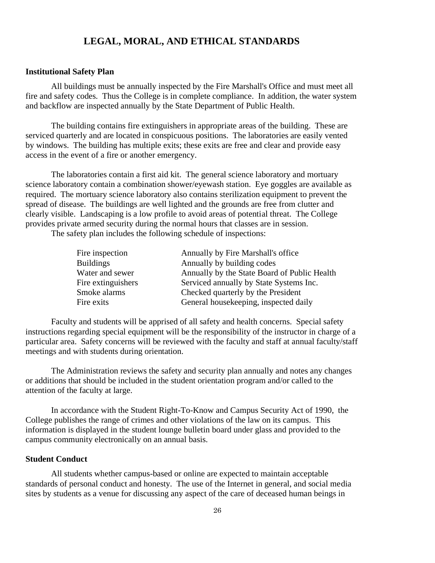### **LEGAL, MORAL, AND ETHICAL STANDARDS**

#### **Institutional Safety Plan**

All buildings must be annually inspected by the Fire Marshall's Office and must meet all fire and safety codes. Thus the College is in complete compliance. In addition, the water system and backflow are inspected annually by the State Department of Public Health.

The building contains fire extinguishers in appropriate areas of the building. These are serviced quarterly and are located in conspicuous positions. The laboratories are easily vented by windows. The building has multiple exits; these exits are free and clear and provide easy access in the event of a fire or another emergency.

The laboratories contain a first aid kit. The general science laboratory and mortuary science laboratory contain a combination shower/eyewash station. Eye goggles are available as required. The mortuary science laboratory also contains sterilization equipment to prevent the spread of disease. The buildings are well lighted and the grounds are free from clutter and clearly visible. Landscaping is a low profile to avoid areas of potential threat. The College provides private armed security during the normal hours that classes are in session.

The safety plan includes the following schedule of inspections:

| Fire inspection    | Annually by Fire Marshall's office           |
|--------------------|----------------------------------------------|
| <b>Buildings</b>   | Annually by building codes                   |
| Water and sewer    | Annually by the State Board of Public Health |
| Fire extinguishers | Serviced annually by State Systems Inc.      |
| Smoke alarms       | Checked quarterly by the President           |
| Fire exits         | General housekeeping, inspected daily        |

Faculty and students will be apprised of all safety and health concerns. Special safety instructions regarding special equipment will be the responsibility of the instructor in charge of a particular area. Safety concerns will be reviewed with the faculty and staff at annual faculty/staff meetings and with students during orientation.

The Administration reviews the safety and security plan annually and notes any changes or additions that should be included in the student orientation program and/or called to the attention of the faculty at large.

In accordance with the Student Right-To-Know and Campus Security Act of 1990, the College publishes the range of crimes and other violations of the law on its campus. This information is displayed in the student lounge bulletin board under glass and provided to the campus community electronically on an annual basis.

### **Student Conduct**

All students whether campus-based or online are expected to maintain acceptable standards of personal conduct and honesty. The use of the Internet in general, and social media sites by students as a venue for discussing any aspect of the care of deceased human beings in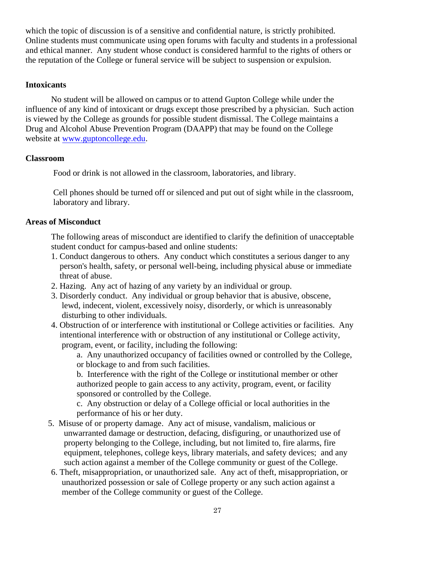which the topic of discussion is of a sensitive and confidential nature, is strictly prohibited. Online students must communicate using open forums with faculty and students in a professional and ethical manner. Any student whose conduct is considered harmful to the rights of others or the reputation of the College or funeral service will be subject to suspension or expulsion.

### **Intoxicants**

No student will be allowed on campus or to attend Gupton College while under the influence of any kind of intoxicant or drugs except those prescribed by a physician. Such action is viewed by the College as grounds for possible student dismissal. The College maintains a Drug and Alcohol Abuse Prevention Program (DAAPP) that may be found on the College website at [www.guptoncollege.edu.](http://www.guptoncollege.edu/)

### **Classroom**

Food or drink is not allowed in the classroom, laboratories, and library.

 Cell phones should be turned off or silenced and put out of sight while in the classroom, laboratory and library.

### **Areas of Misconduct**

The following areas of misconduct are identified to clarify the definition of unacceptable student conduct for campus-based and online students:

- 1. Conduct dangerous to others. Any conduct which constitutes a serious danger to any person's health, safety, or personal well-being, including physical abuse or immediate threat of abuse.
- 2. Hazing. Any act of hazing of any variety by an individual or group.
- 3. Disorderly conduct. Any individual or group behavior that is abusive, obscene, lewd, indecent, violent, excessively noisy, disorderly, or which is unreasonably disturbing to other individuals.
- 4. Obstruction of or interference with institutional or College activities or facilities. Any intentional interference with or obstruction of any institutional or College activity, program, event, or facility, including the following:

a. Any unauthorized occupancy of facilities owned or controlled by the College, or blockage to and from such facilities.

b. Interference with the right of the College or institutional member or other authorized people to gain access to any activity, program, event, or facility sponsored or controlled by the College.

c. Any obstruction or delay of a College official or local authorities in the performance of his or her duty.

- 5. Misuse of or property damage. Any act of misuse, vandalism, malicious or unwarranted damage or destruction, defacing, disfiguring, or unauthorized use of property belonging to the College, including, but not limited to, fire alarms, fire equipment, telephones, college keys, library materials, and safety devices; and any such action against a member of the College community or guest of the College.
- 6. Theft, misappropriation, or unauthorized sale. Any act of theft, misappropriation, or unauthorized possession or sale of College property or any such action against a member of the College community or guest of the College.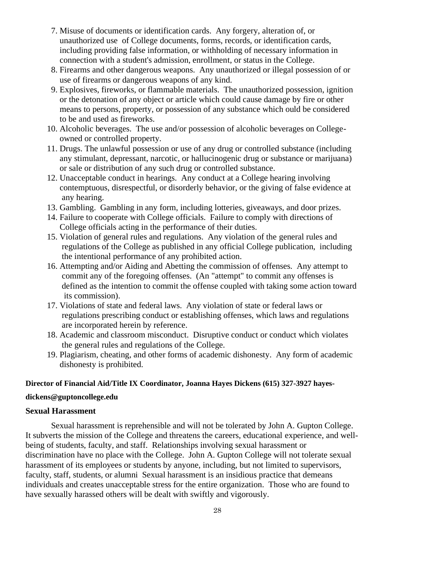- 7. Misuse of documents or identification cards. Any forgery, alteration of, or unauthorized use of College documents, forms, records, or identification cards, including providing false information, or withholding of necessary information in connection with a student's admission, enrollment, or status in the College.
- 8. Firearms and other dangerous weapons. Any unauthorized or illegal possession of or use of firearms or dangerous weapons of any kind.
- 9. Explosives, fireworks, or flammable materials. The unauthorized possession, ignition or the detonation of any object or article which could cause damage by fire or other means to persons, property, or possession of any substance which ould be considered to be and used as fireworks.
- 10. Alcoholic beverages. The use and/or possession of alcoholic beverages on College owned or controlled property.
- 11. Drugs. The unlawful possession or use of any drug or controlled substance (including any stimulant, depressant, narcotic, or hallucinogenic drug or substance or marijuana) or sale or distribution of any such drug or controlled substance.
- 12. Unacceptable conduct in hearings. Any conduct at a College hearing involving contemptuous, disrespectful, or disorderly behavior, or the giving of false evidence at any hearing.
- 13. Gambling. Gambling in any form, including lotteries, giveaways, and door prizes.
- 14. Failure to cooperate with College officials. Failure to comply with directions of College officials acting in the performance of their duties.
- 15. Violation of general rules and regulations. Any violation of the general rules and regulations of the College as published in any official College publication, including the intentional performance of any prohibited action.
- 16. Attempting and/or Aiding and Abetting the commission of offenses. Any attempt to commit any of the foregoing offenses. (An "attempt" to commit any offenses is defined as the intention to commit the offense coupled with taking some action toward its commission).
- 17. Violations of state and federal laws. Any violation of state or federal laws or regulations prescribing conduct or establishing offenses, which laws and regulations are incorporated herein by reference.
- 18. Academic and classroom misconduct. Disruptive conduct or conduct which violates the general rules and regulations of the College.
- 19. Plagiarism, cheating, and other forms of academic dishonesty. Any form of academic dishonesty is prohibited.

### **Director of Financial Aid/Title IX Coordinator, Joanna Hayes Dickens (615) 327-3927 hayes-**

### **dickens@guptoncollege.edu**

### **Sexual Harassment**

Sexual harassment is reprehensible and will not be tolerated by John A. Gupton College. It subverts the mission of the College and threatens the careers, educational experience, and wellbeing of students, faculty, and staff. Relationships involving sexual harassment or discrimination have no place with the College. John A. Gupton College will not tolerate sexual harassment of its employees or students by anyone, including, but not limited to supervisors, faculty, staff, students, or alumni Sexual harassment is an insidious practice that demeans individuals and creates unacceptable stress for the entire organization. Those who are found to have sexually harassed others will be dealt with swiftly and vigorously.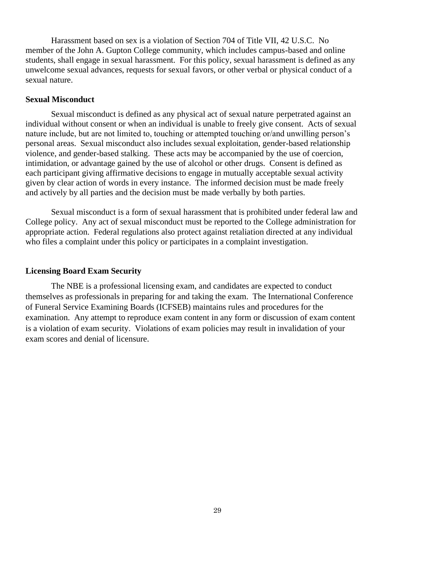Harassment based on sex is a violation of Section 704 of Title VII, 42 U.S.C. No member of the John A. Gupton College community, which includes campus-based and online students, shall engage in sexual harassment. For this policy, sexual harassment is defined as any unwelcome sexual advances, requests for sexual favors, or other verbal or physical conduct of a sexual nature.

#### **Sexual Misconduct**

Sexual misconduct is defined as any physical act of sexual nature perpetrated against an individual without consent or when an individual is unable to freely give consent. Acts of sexual nature include, but are not limited to, touching or attempted touching or/and unwilling person's personal areas. Sexual misconduct also includes sexual exploitation, gender-based relationship violence, and gender-based stalking. These acts may be accompanied by the use of coercion, intimidation, or advantage gained by the use of alcohol or other drugs. Consent is defined as each participant giving affirmative decisions to engage in mutually acceptable sexual activity given by clear action of words in every instance. The informed decision must be made freely and actively by all parties and the decision must be made verbally by both parties.

Sexual misconduct is a form of sexual harassment that is prohibited under federal law and College policy. Any act of sexual misconduct must be reported to the College administration for appropriate action. Federal regulations also protect against retaliation directed at any individual who files a complaint under this policy or participates in a complaint investigation.

### **Licensing Board Exam Security**

The NBE is a professional licensing exam, and candidates are expected to conduct themselves as professionals in preparing for and taking the exam. The International Conference of Funeral Service Examining Boards (ICFSEB) maintains rules and procedures for the examination. Any attempt to reproduce exam content in any form or discussion of exam content is a violation of exam security. Violations of exam policies may result in invalidation of your exam scores and denial of licensure.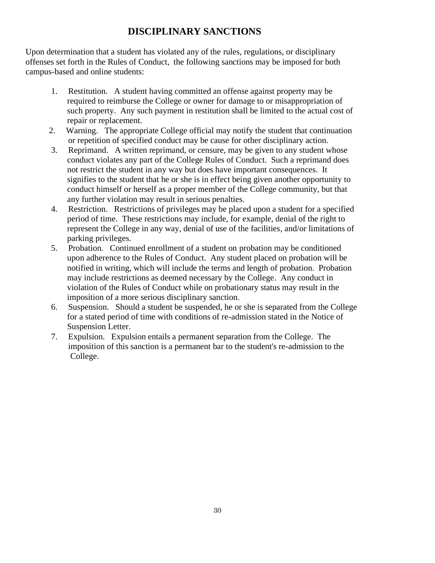### **DISCIPLINARY SANCTIONS**

Upon determination that a student has violated any of the rules, regulations, or disciplinary offenses set forth in the Rules of Conduct, the following sanctions may be imposed for both campus-based and online students:

- 1. Restitution. A student having committed an offense against property may be required to reimburse the College or owner for damage to or misappropriation of such property. Any such payment in restitution shall be limited to the actual cost of repair or replacement.
- 2. Warning. The appropriate College official may notify the student that continuation or repetition of specified conduct may be cause for other disciplinary action.
- 3. Reprimand. A written reprimand, or censure, may be given to any student whose conduct violates any part of the College Rules of Conduct. Such a reprimand does not restrict the student in any way but does have important consequences. It signifies to the student that he or she is in effect being given another opportunity to conduct himself or herself as a proper member of the College community, but that any further violation may result in serious penalties.
- 4. Restriction. Restrictions of privileges may be placed upon a student for a specified period of time. These restrictions may include, for example, denial of the right to represent the College in any way, denial of use of the facilities, and/or limitations of parking privileges.
- 5. Probation. Continued enrollment of a student on probation may be conditioned upon adherence to the Rules of Conduct. Any student placed on probation will be notified in writing, which will include the terms and length of probation. Probation may include restrictions as deemed necessary by the College.Any conduct in violation of the Rules of Conduct while on probationary status may result in the imposition of a more serious disciplinary sanction.
- 6. Suspension. Should a student be suspended, he or she is separated from the College for a stated period of time with conditions of re-admission stated in the Notice of Suspension Letter.
- 7. Expulsion. Expulsion entails a permanent separation from the College. The imposition of this sanction is a permanent bar to the student's re-admission to the College.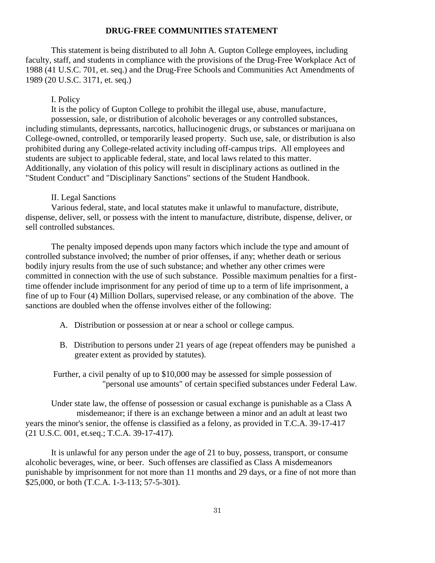### **DRUG-FREE COMMUNITIES STATEMENT**

This statement is being distributed to all John A. Gupton College employees, including faculty, staff, and students in compliance with the provisions of the Drug-Free Workplace Act of 1988 (41 U.S.C. 701, et. seq.) and the Drug-Free Schools and Communities Act Amendments of 1989 (20 U.S.C. 3171, et. seq.)

### I. Policy

It is the policy of Gupton College to prohibit the illegal use, abuse, manufacture, possession, sale, or distribution of alcoholic beverages or any controlled substances, including stimulants, depressants, narcotics, hallucinogenic drugs, or substances or marijuana on College-owned, controlled, or temporarily leased property. Such use, sale, or distribution is also prohibited during any College-related activity including off-campus trips. All employees and students are subject to applicable federal, state, and local laws related to this matter. Additionally, any violation of this policy will result in disciplinary actions as outlined in the "Student Conduct" and "Disciplinary Sanctions" sections of the Student Handbook.

### II. Legal Sanctions

Various federal, state, and local statutes make it unlawful to manufacture, distribute, dispense, deliver, sell, or possess with the intent to manufacture, distribute, dispense, deliver, or sell controlled substances.

The penalty imposed depends upon many factors which include the type and amount of controlled substance involved; the number of prior offenses, if any; whether death or serious bodily injury results from the use of such substance; and whether any other crimes were committed in connection with the use of such substance. Possible maximum penalties for a firsttime offender include imprisonment for any period of time up to a term of life imprisonment, a fine of up to Four (4) Million Dollars, supervised release, or any combination of the above. The sanctions are doubled when the offense involves either of the following:

- A. Distribution or possession at or near a school or college campus.
- B. Distribution to persons under 21 years of age (repeat offenders may be punished a greater extent as provided by statutes).

Further, a civil penalty of up to \$10,000 may be assessed for simple possession of "personal use amounts" of certain specified substances under Federal Law.

Under state law, the offense of possession or casual exchange is punishable as a Class A misdemeanor; if there is an exchange between a minor and an adult at least two years the minor's senior, the offense is classified as a felony, as provided in T.C.A. 39-17-417 (21 U.S.C. 001, et.seq.; T.C.A. 39-17-417).

It is unlawful for any person under the age of 21 to buy, possess, transport, or consume alcoholic beverages, wine, or beer. Such offenses are classified as Class A misdemeanors punishable by imprisonment for not more than 11 months and 29 days, or a fine of not more than \$25,000, or both (T.C.A. 1-3-113; 57-5-301).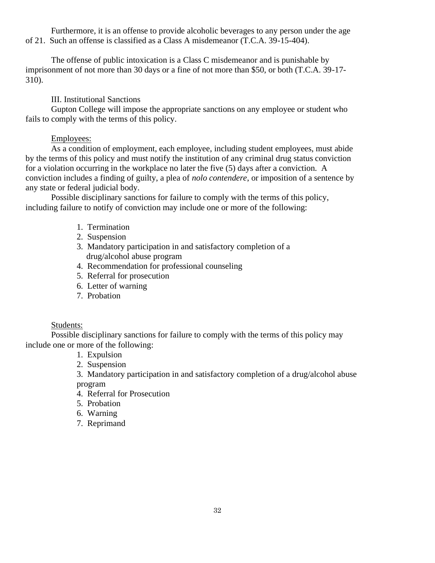Furthermore, it is an offense to provide alcoholic beverages to any person under the age of 21. Such an offense is classified as a Class A misdemeanor (T.C.A. 39-15-404).

The offense of public intoxication is a Class C misdemeanor and is punishable by imprisonment of not more than 30 days or a fine of not more than \$50, or both (T.C.A. 39-17- 310).

III. Institutional Sanctions

Gupton College will impose the appropriate sanctions on any employee or student who fails to comply with the terms of this policy.

### Employees:

As a condition of employment, each employee, including student employees, must abide by the terms of this policy and must notify the institution of any criminal drug status conviction for a violation occurring in the workplace no later the five (5) days after a conviction. A conviction includes a finding of guilty, a plea of *nolo contendere*, or imposition of a sentence by any state or federal judicial body.

Possible disciplinary sanctions for failure to comply with the terms of this policy, including failure to notify of conviction may include one or more of the following:

- 1. Termination
- 2. Suspension
- 3. Mandatory participation in and satisfactory completion of a drug/alcohol abuse program
- 4. Recommendation for professional counseling
- 5. Referral for prosecution
- 6. Letter of warning
- 7. Probation

### Students:

Possible disciplinary sanctions for failure to comply with the terms of this policy may include one or more of the following:

- 1. Expulsion
- 2. Suspension
- 3. Mandatory participation in and satisfactory completion of a drug/alcohol abuse program
- 4. Referral for Prosecution
- 5. Probation
- 6. Warning
- 7. Reprimand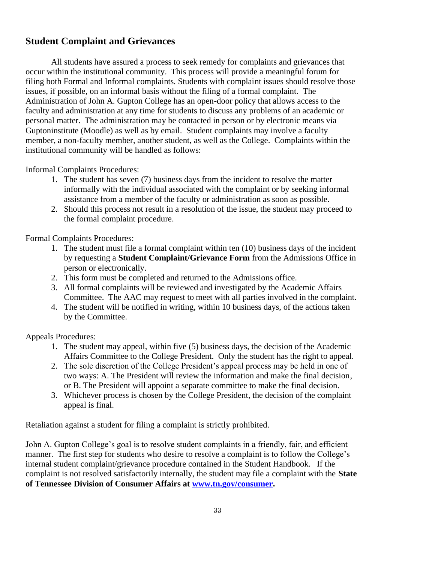### **Student Complaint and Grievances**

All students have assured a process to seek remedy for complaints and grievances that occur within the institutional community. This process will provide a meaningful forum for filing both Formal and Informal complaints. Students with complaint issues should resolve those issues, if possible, on an informal basis without the filing of a formal complaint. The Administration of John A. Gupton College has an open-door policy that allows access to the faculty and administration at any time for students to discuss any problems of an academic or personal matter. The administration may be contacted in person or by electronic means via Guptoninstitute (Moodle) as well as by email. Student complaints may involve a faculty member, a non-faculty member, another student, as well as the College. Complaints within the institutional community will be handled as follows:

Informal Complaints Procedures:

- 1. The student has seven (7) business days from the incident to resolve the matter informally with the individual associated with the complaint or by seeking informal assistance from a member of the faculty or administration as soon as possible.
- 2. Should this process not result in a resolution of the issue, the student may proceed to the formal complaint procedure.

Formal Complaints Procedures:

- 1. The student must file a formal complaint within ten (10) business days of the incident by requesting a **Student Complaint/Grievance Form** from the Admissions Office in person or electronically.
- 2. This form must be completed and returned to the Admissions office.
- 3. All formal complaints will be reviewed and investigated by the Academic Affairs Committee. The AAC may request to meet with all parties involved in the complaint.
- 4. The student will be notified in writing, within 10 business days, of the actions taken by the Committee.

Appeals Procedures:

- 1. The student may appeal, within five (5) business days, the decision of the Academic Affairs Committee to the College President. Only the student has the right to appeal.
- 2. The sole discretion of the College President's appeal process may be held in one of two ways: A. The President will review the information and make the final decision, or B. The President will appoint a separate committee to make the final decision.
- 3. Whichever process is chosen by the College President, the decision of the complaint appeal is final.

Retaliation against a student for filing a complaint is strictly prohibited.

John A. Gupton College's goal is to resolve student complaints in a friendly, fair, and efficient manner. The first step for students who desire to resolve a complaint is to follow the College's internal student complaint/grievance procedure contained in the Student Handbook. If the complaint is not resolved satisfactorily internally, the student may file a complaint with the **State of Tennessee Division of Consumer Affairs at [www.tn.gov/consumer.](http://www.tn.gov/consumer)**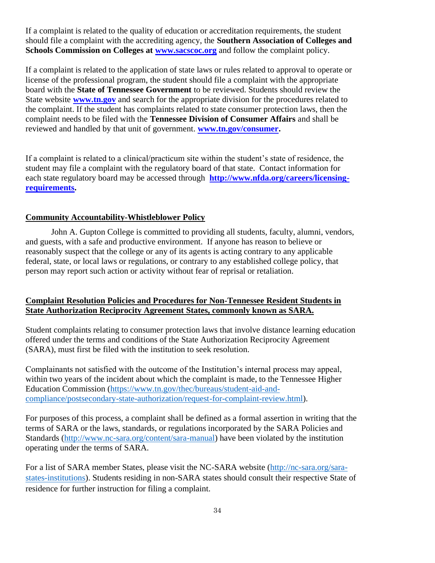If a complaint is related to the quality of education or accreditation requirements, the student should file a complaint with the accrediting agency, the **Southern Association of Colleges and Schools Commission on Colleges at <b>www.sacscoc.org** and follow the complaint policy.

If a complaint is related to the application of state laws or rules related to approval to operate or license of the professional program, the student should file a complaint with the appropriate board with the **State of Tennessee Government** to be reviewed. Students should review the State website **[www.tn.gov](http://www.tn.gov/)** and search for the appropriate division for the procedures related to the complaint. If the student has complaints related to state consumer protection laws, then the complaint needs to be filed with the **Tennessee Division of Consumer Affairs** and shall be reviewed and handled by that unit of government. **[www.tn.gov/consumer.](http://www.tn.gov/consumer)**

If a complaint is related to a clinical/practicum site within the student's state of residence, the student may file a complaint with the regulatory board of that state. Contact information for each state regulatory board may be accessed through **[http://www.nfda.org/careers/licensing](http://www.nfda.org/careers/licensing-requirements)[requirements.](http://www.nfda.org/careers/licensing-requirements)**

### **Community Accountability-Whistleblower Policy**

John A. Gupton College is committed to providing all students, faculty, alumni, vendors, and guests, with a safe and productive environment. If anyone has reason to believe or reasonably suspect that the college or any of its agents is acting contrary to any applicable federal, state, or local laws or regulations, or contrary to any established college policy, that person may report such action or activity without fear of reprisal or retaliation.

### **Complaint Resolution Policies and Procedures for Non-Tennessee Resident Students in State Authorization Reciprocity Agreement States, commonly known as SARA.**

Student complaints relating to consumer protection laws that involve distance learning education offered under the terms and conditions of the State Authorization Reciprocity Agreement (SARA), must first be filed with the institution to seek resolution.

Complainants not satisfied with the outcome of the Institution's internal process may appeal, within two years of the incident about which the complaint is made, to the Tennessee Higher Education Commission [\(https://www.tn.gov/thec/bureaus/student-aid-and](https://www.tn.gov/thec/bureaus/student-aid-and-compliance/postsecondary-state-authorization/request-for-complaint-review.html)[compliance/postsecondary-state-authorization/request-for-complaint-review.html\)](https://www.tn.gov/thec/bureaus/student-aid-and-compliance/postsecondary-state-authorization/request-for-complaint-review.html).

For purposes of this process, a complaint shall be defined as a formal assertion in writing that the terms of SARA or the laws, standards, or regulations incorporated by the SARA Policies and Standards [\(http://www.nc-sara.org/content/sara-manual\)](http://www.nc-sara.org/content/sara-manual) have been violated by the institution operating under the terms of SARA.

For a list of SARA member States, please visit the NC-SARA website [\(http://nc-sara.org/sara](http://nc-sara.org/sara-states-institutions)[states-institutions\)](http://nc-sara.org/sara-states-institutions). Students residing in non-SARA states should consult their respective State of residence for further instruction for filing a complaint.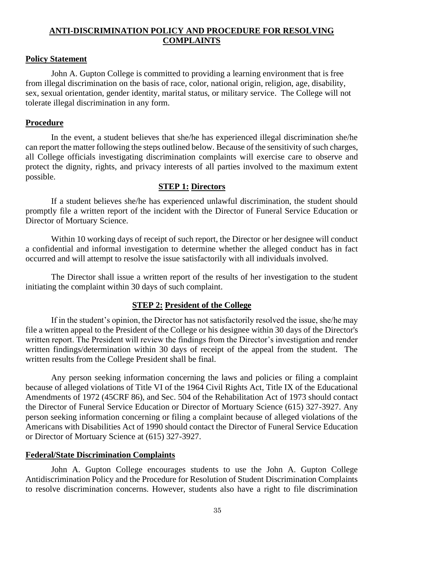### **ANTI-DISCRIMINATION POLICY AND PROCEDURE FOR RESOLVING COMPLAINTS**

#### **Policy Statement**

John A. Gupton College is committed to providing a learning environment that is free from illegal discrimination on the basis of race, color, national origin, religion, age, disability, sex, sexual orientation, gender identity, marital status, or military service. The College will not tolerate illegal discrimination in any form.

### **Procedure**

In the event, a student believes that she/he has experienced illegal discrimination she/he can report the matter following the steps outlined below. Because of the sensitivity of such charges, all College officials investigating discrimination complaints will exercise care to observe and protect the dignity, rights, and privacy interests of all parties involved to the maximum extent possible.

### **STEP 1: Directors**

If a student believes she/he has experienced unlawful discrimination, the student should promptly file a written report of the incident with the Director of Funeral Service Education or Director of Mortuary Science.

Within 10 working days of receipt of such report, the Director or her designee will conduct a confidential and informal investigation to determine whether the alleged conduct has in fact occurred and will attempt to resolve the issue satisfactorily with all individuals involved.

The Director shall issue a written report of the results of her investigation to the student initiating the complaint within 30 days of such complaint.

#### **STEP 2: President of the College**

If in the student's opinion, the Director has not satisfactorily resolved the issue, she/he may file a written appeal to the President of the College or his designee within 30 days of the Director's written report. The President will review the findings from the Director's investigation and render written findings/determination within 30 days of receipt of the appeal from the student. The written results from the College President shall be final.

Any person seeking information concerning the laws and policies or filing a complaint because of alleged violations of Title VI of the 1964 Civil Rights Act, Title IX of the Educational Amendments of 1972 (45CRF 86), and Sec. 504 of the Rehabilitation Act of 1973 should contact the Director of Funeral Service Education or Director of Mortuary Science (615) 327-3927. Any person seeking information concerning or filing a complaint because of alleged violations of the Americans with Disabilities Act of 1990 should contact the Director of Funeral Service Education or Director of Mortuary Science at (615) 327-3927.

### **Federal/State Discrimination Complaints**

John A. Gupton College encourages students to use the John A. Gupton College Antidiscrimination Policy and the Procedure for Resolution of Student Discrimination Complaints to resolve discrimination concerns. However, students also have a right to file discrimination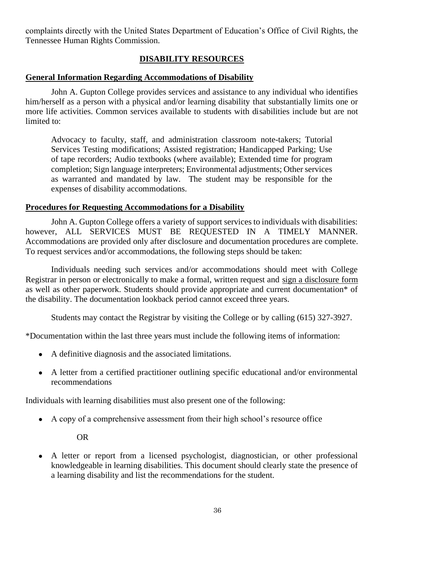complaints directly with the United States Department of Education's Office of Civil Rights, the Tennessee Human Rights Commission.

### **DISABILITY RESOURCES**

#### **General Information Regarding Accommodations of Disability**

John A. Gupton College provides services and assistance to any individual who identifies him/herself as a person with a physical and/or learning disability that substantially limits one or more life activities. Common services available to students with disabilities include but are not limited to:

Advocacy to faculty, staff, and administration classroom note-takers; Tutorial Services Testing modifications; Assisted registration; Handicapped Parking; Use of tape recorders; Audio textbooks (where available); Extended time for program completion; Sign language interpreters; Environmental adjustments; Other services as warranted and mandated by law. The student may be responsible for the expenses of disability accommodations.

### **Procedures for Requesting Accommodations for a Disability**

John A. Gupton College offers a variety of support services to individuals with disabilities: however, ALL SERVICES MUST BE REQUESTED IN A TIMELY MANNER. Accommodations are provided only after disclosure and documentation procedures are complete. To request services and/or accommodations, the following steps should be taken:

Individuals needing such services and/or accommodations should meet with College Registrar in person or electronically to make a formal, written request and sign a disclosure form as well as other paperwork. Students should provide appropriate and current documentation\* of the disability. The documentation lookback period cannot exceed three years.

Students may contact the Registrar by visiting the College or by calling (615) 327-3927.

\*Documentation within the last three years must include the following items of information:

- A definitive diagnosis and the associated limitations.
- A letter from a certified practitioner outlining specific educational and/or environmental recommendations

Individuals with learning disabilities must also present one of the following:

● A copy of a comprehensive assessment from their high school's resource office

OR

A letter or report from a licensed psychologist, diagnostician, or other professional knowledgeable in learning disabilities. This document should clearly state the presence of a learning disability and list the recommendations for the student.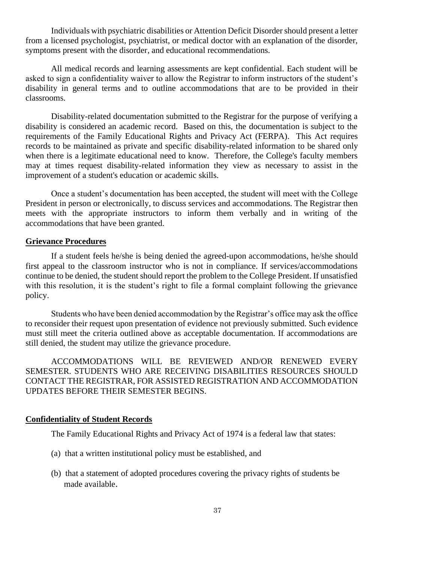Individuals with psychiatric disabilities or Attention Deficit Disorder should present a letter from a licensed psychologist, psychiatrist, or medical doctor with an explanation of the disorder, symptoms present with the disorder, and educational recommendations.

All medical records and learning assessments are kept confidential. Each student will be asked to sign a confidentiality waiver to allow the Registrar to inform instructors of the student's disability in general terms and to outline accommodations that are to be provided in their classrooms.

Disability-related documentation submitted to the Registrar for the purpose of verifying a disability is considered an academic record. Based on this, the documentation is subject to the requirements of the Family Educational Rights and Privacy Act (FERPA). This Act requires records to be maintained as private and specific disability-related information to be shared only when there is a legitimate educational need to know. Therefore, the College's faculty members may at times request disability-related information they view as necessary to assist in the improvement of a student's education or academic skills.

Once a student's documentation has been accepted, the student will meet with the College President in person or electronically, to discuss services and accommodations. The Registrar then meets with the appropriate instructors to inform them verbally and in writing of the accommodations that have been granted.

#### **Grievance Procedures**

If a student feels he/she is being denied the agreed-upon accommodations, he/she should first appeal to the classroom instructor who is not in compliance. If services/accommodations continue to be denied, the student should report the problem to the College President. If unsatisfied with this resolution, it is the student's right to file a formal complaint following the grievance policy.

Students who have been denied accommodation by the Registrar's office may ask the office to reconsider their request upon presentation of evidence not previously submitted. Such evidence must still meet the criteria outlined above as acceptable documentation. If accommodations are still denied, the student may utilize the grievance procedure.

ACCOMMODATIONS WILL BE REVIEWED AND/OR RENEWED EVERY SEMESTER. STUDENTS WHO ARE RECEIVING DISABILITIES RESOURCES SHOULD CONTACT THE REGISTRAR, FOR ASSISTED REGISTRATION AND ACCOMMODATION UPDATES BEFORE THEIR SEMESTER BEGINS.

#### **Confidentiality of Student Records**

The Family Educational Rights and Privacy Act of 1974 is a federal law that states:

- (a) that a written institutional policy must be established, and
- (b) that a statement of adopted procedures covering the privacy rights of students be made available.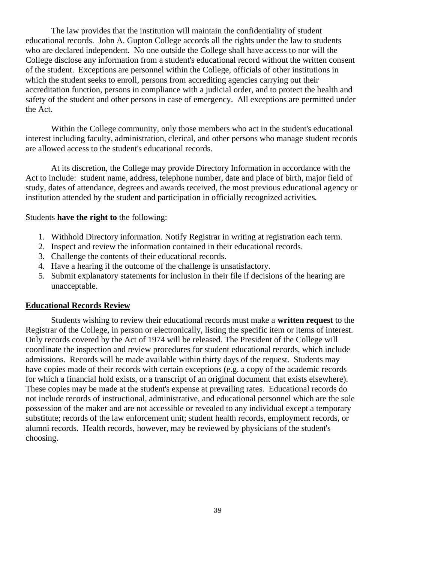The law provides that the institution will maintain the confidentiality of student educational records. John A. Gupton College accords all the rights under the law to students who are declared independent. No one outside the College shall have access to nor will the College disclose any information from a student's educational record without the written consent of the student. Exceptions are personnel within the College, officials of other institutions in which the student seeks to enroll, persons from accrediting agencies carrying out their accreditation function, persons in compliance with a judicial order, and to protect the health and safety of the student and other persons in case of emergency. All exceptions are permitted under the Act.

Within the College community, only those members who act in the student's educational interest including faculty, administration, clerical, and other persons who manage student records are allowed access to the student's educational records.

At its discretion, the College may provide Directory Information in accordance with the Act to include: student name, address, telephone number, date and place of birth, major field of study, dates of attendance, degrees and awards received, the most previous educational agency or institution attended by the student and participation in officially recognized activities.

#### Students **have the right to** the following:

- 1. Withhold Directory information. Notify Registrar in writing at registration each term.
- 2. Inspect and review the information contained in their educational records.
- 3. Challenge the contents of their educational records.
- 4. Have a hearing if the outcome of the challenge is unsatisfactory.
- 5. Submit explanatory statements for inclusion in their file if decisions of the hearing are unacceptable.

### **Educational Records Review**

Students wishing to review their educational records must make a **written request** to the Registrar of the College, in person or electronically, listing the specific item or items of interest. Only records covered by the Act of 1974 will be released. The President of the College will coordinate the inspection and review procedures for student educational records, which include admissions. Records will be made available within thirty days of the request. Students may have copies made of their records with certain exceptions (e.g. a copy of the academic records for which a financial hold exists, or a transcript of an original document that exists elsewhere). These copies may be made at the student's expense at prevailing rates. Educational records do not include records of instructional, administrative, and educational personnel which are the sole possession of the maker and are not accessible or revealed to any individual except a temporary substitute; records of the law enforcement unit; student health records, employment records, or alumni records. Health records, however, may be reviewed by physicians of the student's choosing.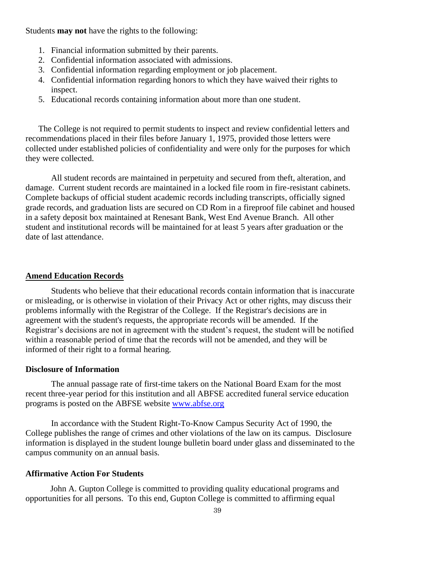Students **may not** have the rights to the following:

- 1. Financial information submitted by their parents.
- 2. Confidential information associated with admissions.
- 3. Confidential information regarding employment or job placement.
- 4. Confidential information regarding honors to which they have waived their rights to inspect.
- 5. Educational records containing information about more than one student.

The College is not required to permit students to inspect and review confidential letters and recommendations placed in their files before January 1, 1975, provided those letters were collected under established policies of confidentiality and were only for the purposes for which they were collected.

All student records are maintained in perpetuity and secured from theft, alteration, and damage. Current student records are maintained in a locked file room in fire-resistant cabinets. Complete backups of official student academic records including transcripts, officially signed grade records, and graduation lists are secured on CD Rom in a fireproof file cabinet and housed in a safety deposit box maintained at Renesant Bank, West End Avenue Branch. All other student and institutional records will be maintained for at least 5 years after graduation or the date of last attendance.

#### **Amend Education Records**

Students who believe that their educational records contain information that is inaccurate or misleading, or is otherwise in violation of their Privacy Act or other rights, may discuss their problems informally with the Registrar of the College. If the Registrar's decisions are in agreement with the student's requests, the appropriate records will be amended. If the Registrar's decisions are not in agreement with the student's request, the student will be notified within a reasonable period of time that the records will not be amended, and they will be informed of their right to a formal hearing.

### **Disclosure of Information**

The annual passage rate of first-time takers on the National Board Exam for the most recent three-year period for this institution and all ABFSE accredited funeral service education programs is posted on the ABFSE website [www.abfse.org](http://www.abfse.org/)

In accordance with the Student Right-To-Know Campus Security Act of 1990, the College publishes the range of crimes and other violations of the law on its campus. Disclosure information is displayed in the student lounge bulletin board under glass and disseminated to the campus community on an annual basis.

### **Affirmative Action For Students**

John A. Gupton College is committed to providing quality educational programs and opportunities for all persons. To this end, Gupton College is committed to affirming equal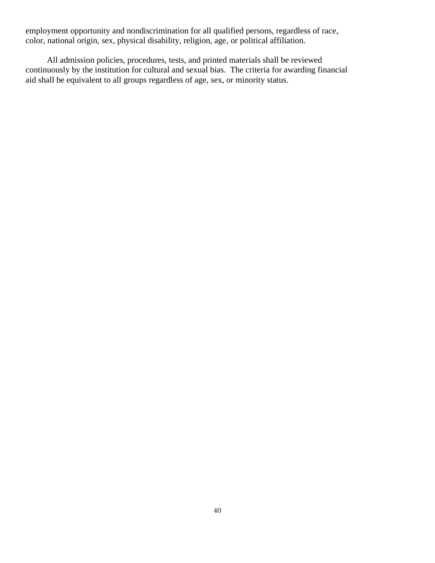employment opportunity and nondiscrimination for all qualified persons, regardless of race, color, national origin, sex, physical disability, religion, age, or political affiliation.

 All admission policies, procedures, tests, and printed materials shall be reviewed continuously by the institution for cultural and sexual bias. The criteria for awarding financial aid shall be equivalent to all groups regardless of age, sex, or minority status.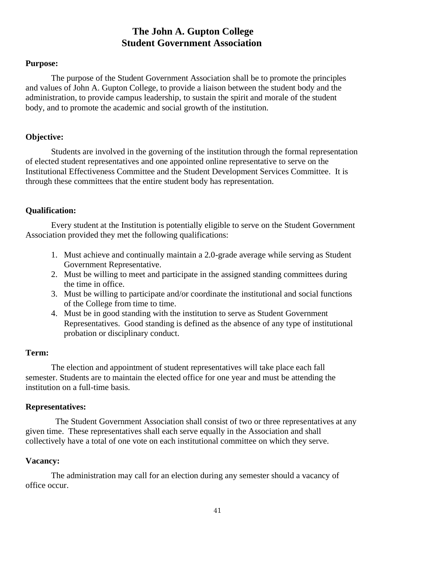### **The John A. Gupton College Student Government Association**

### **Purpose:**

The purpose of the Student Government Association shall be to promote the principles and values of John A. Gupton College, to provide a liaison between the student body and the administration, to provide campus leadership, to sustain the spirit and morale of the student body, and to promote the academic and social growth of the institution.

### **Objective:**

Students are involved in the governing of the institution through the formal representation of elected student representatives and one appointed online representative to serve on the Institutional Effectiveness Committee and the Student Development Services Committee. It is through these committees that the entire student body has representation.

### **Qualification:**

Every student at the Institution is potentially eligible to serve on the Student Government Association provided they met the following qualifications:

- 1. Must achieve and continually maintain a 2.0-grade average while serving as Student Government Representative.
- 2. Must be willing to meet and participate in the assigned standing committees during the time in office.
- 3. Must be willing to participate and/or coordinate the institutional and social functions of the College from time to time.
- 4. Must be in good standing with the institution to serve as Student Government Representatives. Good standing is defined as the absence of any type of institutional probation or disciplinary conduct.

### **Term:**

The election and appointment of student representatives will take place each fall semester. Students are to maintain the elected office for one year and must be attending the institution on a full-time basis.

### **Representatives:**

 The Student Government Association shall consist of two or three representatives at any given time. These representatives shall each serve equally in the Association and shall collectively have a total of one vote on each institutional committee on which they serve.

### **Vacancy:**

The administration may call for an election during any semester should a vacancy of office occur.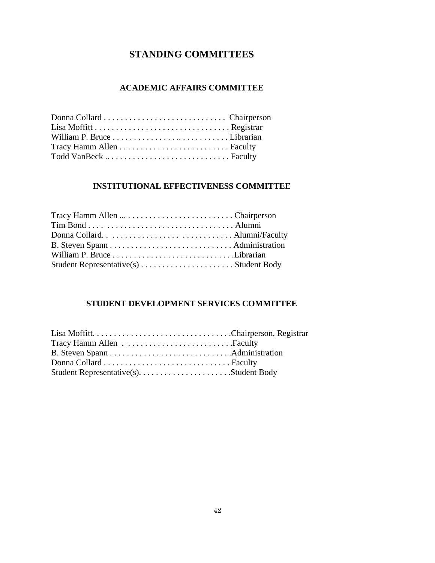### **STANDING COMMITTEES**

### **ACADEMIC AFFAIRS COMMITTEE**

### **INSTITUTIONAL EFFECTIVENESS COMMITTEE**

### **STUDENT DEVELOPMENT SERVICES COMMITTEE**